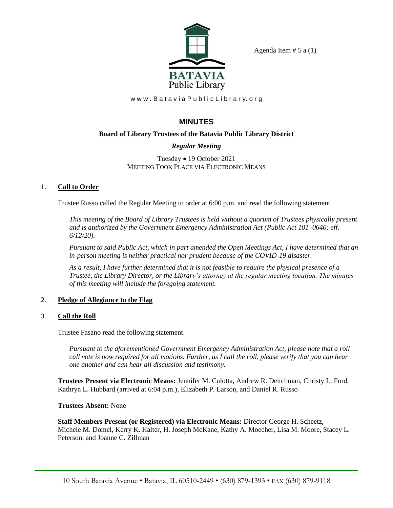

Agenda Item  $# 5$  a  $(1)$ 

www.BataviaPublicLibrary.org

# **MINUTES**

## **Board of Library Trustees of the Batavia Public Library District**

## *Regular Meeting*

Tuesday • 19 October 2021 MEETING TOOK PLACE VIA ELECTRONIC MEANS

## 1. **Call to Order**

Trustee Russo called the Regular Meeting to order at 6:00 p.m. and read the following statement.

*This meeting of the Board of Library Trustees is held without a quorum of Trustees physically present and is authorized by the Government Emergency Administration Act (Public Act 101–0640; eff. 6/12/20).*

*Pursuant to said Public Act, which in part amended the Open Meetings Act, I have determined that an in-person meeting is neither practical nor prudent because of the COVID-19 disaster.*

*As a result, I have further determined that it is not feasible to require the physical presence of a Trustee, the Library Director, or the Library's attorney at the regular meeting location. The minutes of this meeting will include the foregoing statement.*

## 2. **Pledge of Allegiance to the Flag**

## 3. **Call the Roll**

Trustee Fasano read the following statement.

*Pursuant to the aforementioned Government Emergency Administration Act, please note that a roll call vote is now required for all motions. Further, as I call the roll, please verify that you can hear one another and can hear all discussion and testimony.*

**Trustees Present via Electronic Means:** Jennifer M. Culotta, Andrew R. Deitchman, Christy L. Ford, Kathryn L. Hubbard (arrived at 6:04 p.m.), Elizabeth P. Larson, and Daniel R. Russo

**Trustees Absent:** None

**Staff Members Present (or Registered) via Electronic Means:** Director George H. Scheetz, Michele M. Domel, Kerry K. Halter, H. Joseph McKane, Kathy A. Moecher, Lisa M. Moore, Stacey L. Peterson, and Joanne C. Zillman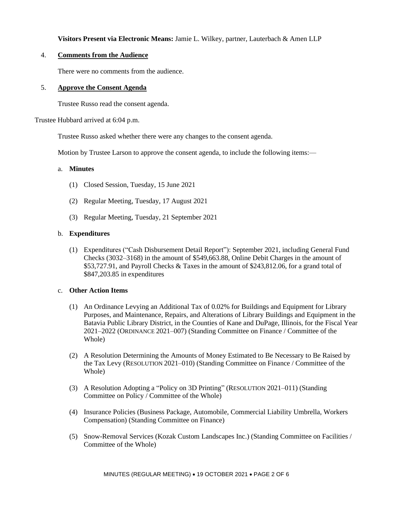## **Visitors Present via Electronic Means:** Jamie L. Wilkey, partner, Lauterbach & Amen LLP

## 4. **Comments from the Audience**

There were no comments from the audience.

### 5. **Approve the Consent Agenda**

Trustee Russo read the consent agenda.

Trustee Hubbard arrived at 6:04 p.m.

Trustee Russo asked whether there were any changes to the consent agenda.

Motion by Trustee Larson to approve the consent agenda, to include the following items:—

#### a. **Minutes**

- (1) Closed Session, Tuesday, 15 June 2021
- (2) Regular Meeting, Tuesday, 17 August 2021
- (3) Regular Meeting, Tuesday, 21 September 2021

#### b. **Expenditures**

(1) Expenditures ("Cash Disbursement Detail Report"): September 2021, including General Fund Checks (3032–3168) in the amount of \$549,663.88, Online Debit Charges in the amount of \$53,727.91, and Payroll Checks & Taxes in the amount of \$243,812.06, for a grand total of \$847,203.85 in expenditures

### c. **Other Action Items**

- (1) An Ordinance Levying an Additional Tax of 0.02% for Buildings and Equipment for Library Purposes, and Maintenance, Repairs, and Alterations of Library Buildings and Equipment in the Batavia Public Library District, in the Counties of Kane and DuPage, Illinois, for the Fiscal Year 2021–2022 (ORDINANCE 2021–007) (Standing Committee on Finance / Committee of the Whole)
- (2) A Resolution Determining the Amounts of Money Estimated to Be Necessary to Be Raised by the Tax Levy (RESOLUTION 2021–010) (Standing Committee on Finance / Committee of the Whole)
- (3) A Resolution Adopting a "Policy on 3D Printing" (RESOLUTION 2021–011) (Standing Committee on Policy / Committee of the Whole)
- (4) Insurance Policies (Business Package, Automobile, Commercial Liability Umbrella, Workers Compensation) (Standing Committee on Finance)
- (5) Snow-Removal Services (Kozak Custom Landscapes Inc.) (Standing Committee on Facilities / Committee of the Whole)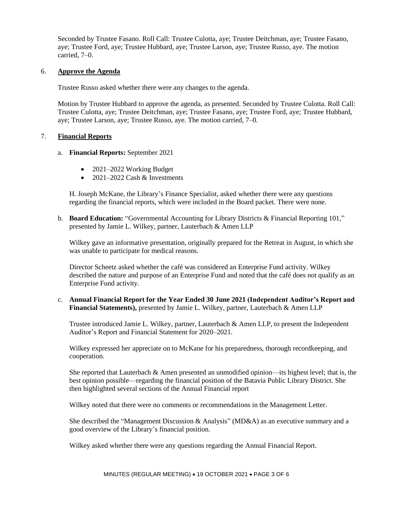Seconded by Trustee Fasano. Roll Call: Trustee Culotta, aye; Trustee Deitchman, aye; Trustee Fasano, aye; Trustee Ford, aye; Trustee Hubbard, aye; Trustee Larson, aye; Trustee Russo, aye. The motion carried, 7–0.

#### 6. **Approve the Agenda**

Trustee Russo asked whether there were any changes to the agenda.

Motion by Trustee Hubbard to approve the agenda, as presented. Seconded by Trustee Culotta. Roll Call: Trustee Culotta, aye; Trustee Deitchman, aye; Trustee Fasano, aye; Trustee Ford, aye; Trustee Hubbard, aye; Trustee Larson, aye; Trustee Russo, aye. The motion carried, 7–0.

### 7. **Financial Reports**

- a. **Financial Reports:** September 2021
	- 2021–2022 Working Budget
	- $2021-2022$  Cash & Investments

H. Joseph McKane, the Library's Finance Specialist, asked whether there were any questions regarding the financial reports, which were included in the Board packet. There were none.

b. **Board Education:** "Governmental Accounting for Library Districts & Financial Reporting 101," presented by Jamie L. Wilkey, partner, Lauterbach & Amen LLP

Wilkey gave an informative presentation, originally prepared for the Retreat in August, in which she was unable to participate for medical reasons.

Director Scheetz asked whether the café was considered an Enterprise Fund activity. Wilkey described the nature and purpose of an Enterprise Fund and noted that the café does not qualify as an Enterprise Fund activity.

c. **Annual Financial Report for the Year Ended 30 June 2021 (Independent Auditor's Report and Financial Statements),** presented by Jamie L. Wilkey, partner, Lauterbach & Amen LLP

Trustee introduced Jamie L. Wilkey, partner, Lauterbach & Amen LLP, to present the Independent Auditor's Report and Financial Statement for 2020–2021.

Wilkey expressed her appreciate on to McKane for his preparedness, thorough recordkeeping, and cooperation.

She reported that Lauterbach & Amen presented an unmodified opinion—its highest level; that is, the best opinion possible—regarding the financial position of the Batavia Public Library District. She then highlighted several sections of the Annual Financial report

Wilkey noted that there were no comments or recommendations in the Management Letter.

She described the "Management Discussion & Analysis" (MD&A) as an executive summary and a good overview of the Library's financial position.

Wilkey asked whether there were any questions regarding the Annual Financial Report.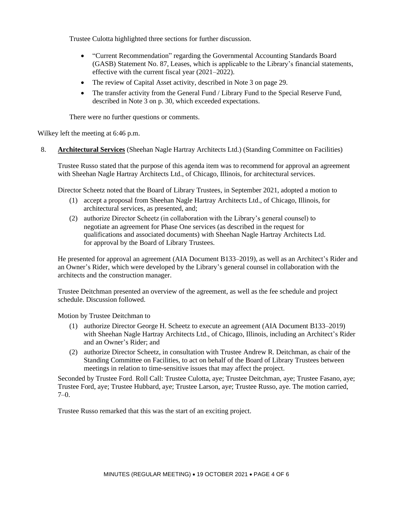Trustee Culotta highlighted three sections for further discussion.

- "Current Recommendation" regarding the Governmental Accounting Standards Board (GASB) Statement No. 87, Leases, which is applicable to the Library's financial statements, effective with the current fiscal year (2021–2022).
- The review of Capital Asset activity, described in Note 3 on page 29.
- The transfer activity from the General Fund / Library Fund to the Special Reserve Fund, described in Note 3 on p. 30, which exceeded expectations.

There were no further questions or comments.

Wilkey left the meeting at 6:46 p.m.

8. **Architectural Services** (Sheehan Nagle Hartray Architects Ltd.) (Standing Committee on Facilities)

Trustee Russo stated that the purpose of this agenda item was to recommend for approval an agreement with Sheehan Nagle Hartray Architects Ltd., of Chicago, Illinois, for architectural services.

Director Scheetz noted that the Board of Library Trustees, in September 2021, adopted a motion to

- (1) accept a proposal from Sheehan Nagle Hartray Architects Ltd., of Chicago, Illinois, for architectural services, as presented, and;
- (2) authorize Director Scheetz (in collaboration with the Library's general counsel) to negotiate an agreement for Phase One services (as described in the request for qualifications and associated documents) with Sheehan Nagle Hartray Architects Ltd. for approval by the Board of Library Trustees.

He presented for approval an agreement (AIA Document B133–2019), as well as an Architect's Rider and an Owner's Rider, which were developed by the Library's general counsel in collaboration with the architects and the construction manager.

Trustee Deitchman presented an overview of the agreement, as well as the fee schedule and project schedule. Discussion followed.

Motion by Trustee Deitchman to

- (1) authorize Director George H. Scheetz to execute an agreement (AIA Document B133–2019) with Sheehan Nagle Hartray Architects Ltd., of Chicago, Illinois, including an Architect's Rider and an Owner's Rider; and
- (2) authorize Director Scheetz, in consultation with Trustee Andrew R. Deitchman, as chair of the Standing Committee on Facilities, to act on behalf of the Board of Library Trustees between meetings in relation to time-sensitive issues that may affect the project.

Seconded by Trustee Ford. Roll Call: Trustee Culotta, aye; Trustee Deitchman, aye; Trustee Fasano, aye; Trustee Ford, aye; Trustee Hubbard, aye; Trustee Larson, aye; Trustee Russo, aye. The motion carried,  $7-0.$ 

Trustee Russo remarked that this was the start of an exciting project.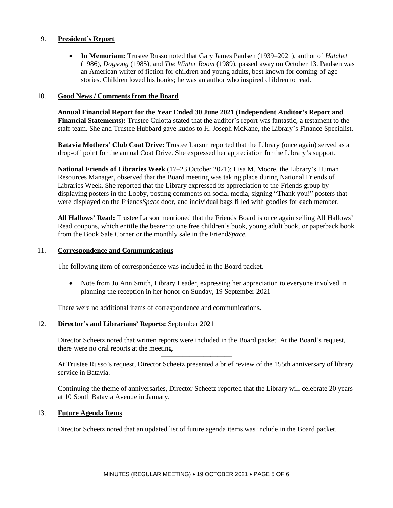### 9. **President's Report**

• **In Memoriam:** Trustee Russo noted that Gary James Paulsen (1939–2021), author of *Hatchet* (1986), *Dogsong* (1985), and *The Winter Room* (1989), passed away on October 13. Paulsen was an American writer of fiction for children and young adults, best known for coming-of-age stories. Children loved his books; he was an author who inspired children to read.

#### 10. **Good News / Comments from the Board**

**Annual Financial Report for the Year Ended 30 June 2021 (Independent Auditor's Report and Financial Statements):** Trustee Culotta stated that the auditor's report was fantastic, a testament to the staff team. She and Trustee Hubbard gave kudos to H. Joseph McKane, the Library's Finance Specialist.

**Batavia Mothers' Club Coat Drive:** Trustee Larson reported that the Library (once again) served as a drop-off point for the annual Coat Drive. She expressed her appreciation for the Library's support.

**National Friends of Libraries Week** (17–23 October 2021): Lisa M. Moore, the Library's Human Resources Manager, observed that the Board meeting was taking place during National Friends of Libraries Week. She reported that the Library expressed its appreciation to the Friends group by displaying posters in the Lobby, posting comments on social media, signing "Thank you!" posters that were displayed on the Friends*Space* door, and individual bags filled with goodies for each member.

**All Hallows' Read:** Trustee Larson mentioned that the Friends Board is once again selling All Hallows' Read coupons, which entitle the bearer to one free children's book, young adult book, or paperback book from the Book Sale Corner or the monthly sale in the Friend*Space.*

#### 11. **Correspondence and Communications**

The following item of correspondence was included in the Board packet.

• Note from Jo Ann Smith, Library Leader, expressing her appreciation to everyone involved in planning the reception in her honor on Sunday, 19 September 2021

There were no additional items of correspondence and communications.

#### 12. **Director's and Librarians' Reports:** September 2021

Director Scheetz noted that written reports were included in the Board packet. At the Board's request, there were no oral reports at the meeting.

——————————

At Trustee Russo's request, Director Scheetz presented a brief review of the 155th anniversary of library service in Batavia.

Continuing the theme of anniversaries, Director Scheetz reported that the Library will celebrate 20 years at 10 South Batavia Avenue in January.

#### 13. **Future Agenda Items**

Director Scheetz noted that an updated list of future agenda items was include in the Board packet.